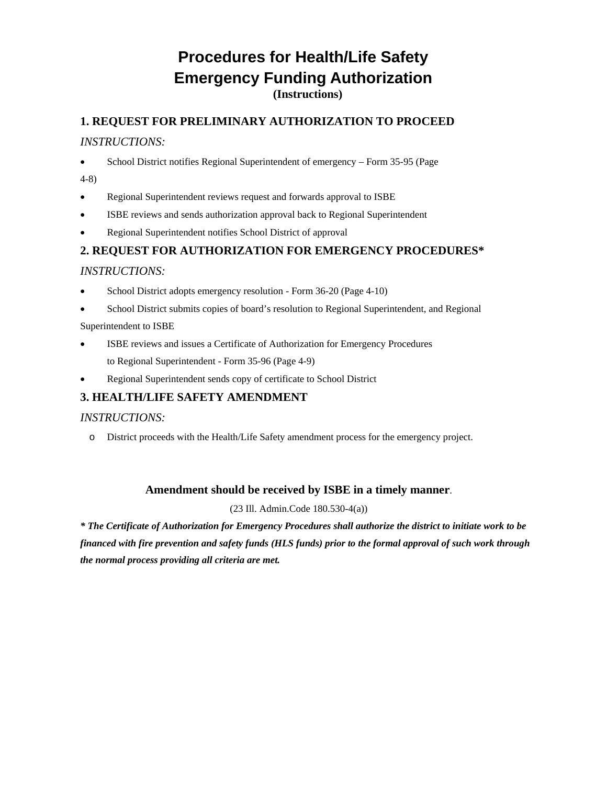## **Procedures for Health/Life Safety Emergency Funding Authorization (Instructions)**

### **1. REQUEST FOR PRELIMINARY AUTHORIZATION TO PROCEED**

#### *INSTRUCTIONS:*

- School District notifies Regional Superintendent of emergency Form 35-95 (Page
- 4-8)
- Regional Superintendent reviews request and forwards approval to ISBE
- ISBE reviews and sends authorization approval back to Regional Superintendent
- Regional Superintendent notifies School District of approval

### **2. REQUEST FOR AUTHORIZATION FOR EMERGENCY PROCEDURES\***

#### *INSTRUCTIONS:*

- School District adopts emergency resolution Form 36-20 (Page 4-10)
- School District submits copies of board's resolution to Regional Superintendent, and Regional

#### Superintendent to ISBE

- ISBE reviews and issues a Certificate of Authorization for Emergency Procedures to Regional Superintendent - Form 35-96 (Page 4-9)
- Regional Superintendent sends copy of certificate to School District

### **3. HEALTH/LIFE SAFETY AMENDMENT**

#### *INSTRUCTIONS:*

o District proceeds with the Health/Life Safety amendment process for the emergency project.

#### **Amendment should be received by ISBE in a timely manner**.

(23 Ill. Admin.Code 180.530-4(a))

*\* The Certificate of Authorization for Emergency Procedures shall authorize the district to initiate work to be financed with fire prevention and safety funds (HLS funds) prior to the formal approval of such work through the normal process providing all criteria are met.*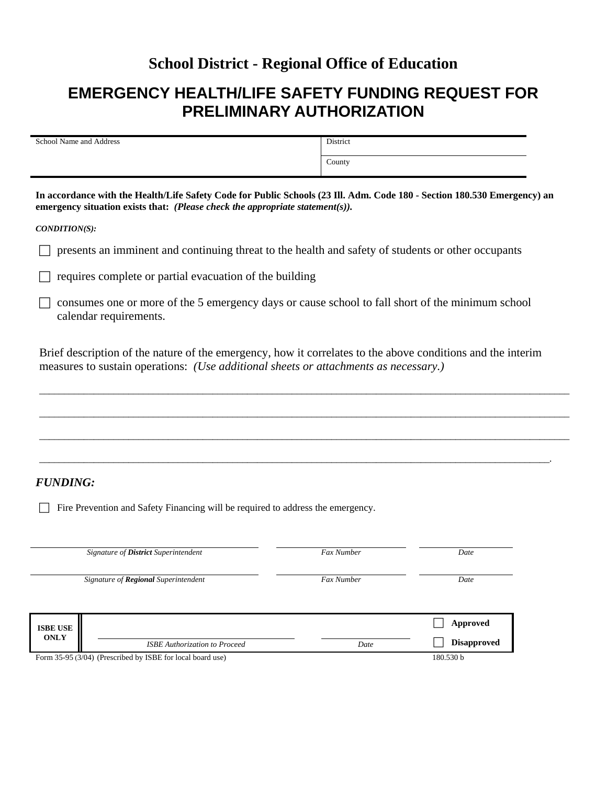### **School District - Regional Office of Education**

# **EMERGENCY HEALTH/LIFE SAFETY FUNDING REQUEST FOR PRELIMINARY AUTHORIZATION**

| School Name and Address | District |
|-------------------------|----------|
|                         | County   |

**In accordance with the Health/Life Safety Code for Public Schools (23 Ill. Adm. Code 180 - Section 180.530 Emergency) an emergency situation exists that:** *(Please check the appropriate statement(s)).*

*CONDITION(S):*

 $\Box$  presents an imminent and continuing threat to the health and safety of students or other occupants

 $\Box$  requires complete or partial evacuation of the building

 $\Box$  consumes one or more of the 5 emergency days or cause school to fall short of the minimum school calendar requirements.

Brief description of the nature of the emergency, how it correlates to the above conditions and the interim measures to sustain operations: *(Use additional sheets or attachments as necessary.)*

*\_\_\_\_\_\_\_\_\_\_\_\_\_\_\_\_\_\_\_\_\_\_\_\_\_\_\_\_\_\_\_\_\_\_\_\_\_\_\_\_\_\_\_\_\_\_\_\_\_\_\_\_\_\_\_\_\_\_\_\_\_\_\_\_\_\_\_\_\_\_\_\_\_\_\_\_\_\_\_\_\_\_\_\_\_\_\_\_\_\_\_\_\_\_\_\_\_\_\_\_\_\_\_\_\_\_\_*

*\_\_\_\_\_\_\_\_\_\_\_\_\_\_\_\_\_\_\_\_\_\_\_\_\_\_\_\_\_\_\_\_\_\_\_\_\_\_\_\_\_\_\_\_\_\_\_\_\_\_\_\_\_\_\_\_\_\_\_\_\_\_\_\_\_\_\_\_\_\_\_\_\_\_\_\_\_\_\_\_\_\_\_\_\_\_\_\_\_\_\_\_\_\_\_\_\_\_\_\_\_\_\_\_\_\_\_*

*\_\_\_\_\_\_\_\_\_\_\_\_\_\_\_\_\_\_\_\_\_\_\_\_\_\_\_\_\_\_\_\_\_\_\_\_\_\_\_\_\_\_\_\_\_\_\_\_\_\_\_\_\_\_\_\_\_\_\_\_\_\_\_\_\_\_\_\_\_\_\_\_\_\_\_\_\_\_\_\_\_\_\_\_\_\_\_\_\_\_\_\_\_\_\_\_\_\_\_\_\_\_\_\_\_\_\_*

*\_\_\_\_\_\_\_\_\_\_\_\_\_\_\_\_\_\_\_\_\_\_\_\_\_\_\_\_\_\_\_\_\_\_\_\_\_\_\_\_\_\_\_\_\_\_\_\_\_\_\_\_\_\_\_\_\_\_\_\_\_\_\_\_\_\_\_\_\_\_\_\_\_\_\_\_\_\_\_\_\_\_\_\_\_\_\_\_\_\_\_\_\_\_\_\_\_\_\_\_\_\_\_.*

#### *FUNDING:*

Fire Prevention and Safety Financing will be required to address the emergency.

| Signature of <b>District</b> Superintendent                |                                             | <b>Fax Number</b> | Date               |
|------------------------------------------------------------|---------------------------------------------|-------------------|--------------------|
|                                                            | Signature of <b>Regional</b> Superintendent | <b>Fax Number</b> | Date               |
| <b>ISBE USE</b><br><b>ONLY</b>                             |                                             |                   | Approved           |
|                                                            | <b>ISBE</b> Authorization to Proceed        | Date              | <b>Disapproved</b> |
| Form 35-95 (3/04) (Prescribed by ISBE for local board use) | 180.530 b                                   |                   |                    |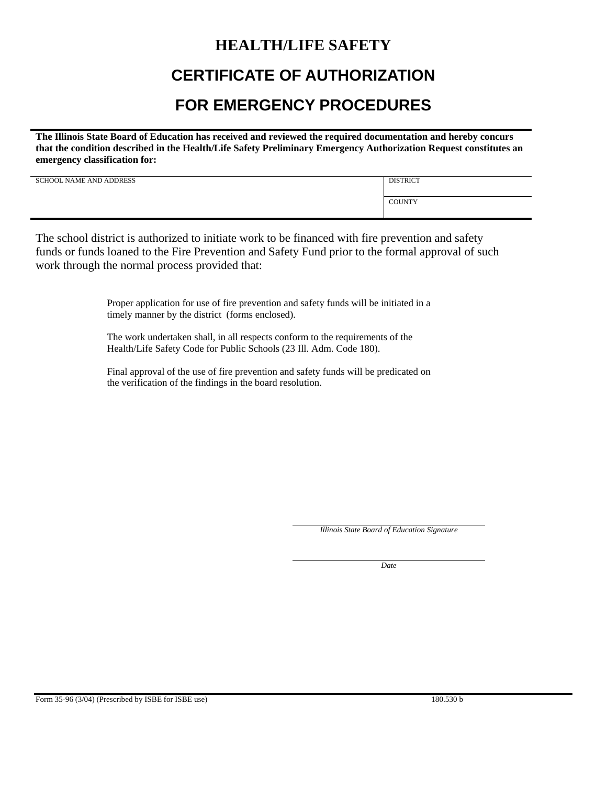### **HEALTH/LIFE SAFETY**

# **CERTIFICATE OF AUTHORIZATION**

## **FOR EMERGENCY PROCEDURES**

**The Illinois State Board of Education has received and reviewed the required documentation and hereby concurs that the condition described in the Health/Life Safety Preliminary Emergency Authorization Request constitutes an emergency classification for:**

| <b>SCHOOL NAME AND ADDRESS</b> | <b>DISTRICT</b> |
|--------------------------------|-----------------|
|                                | <b>COUNTY</b>   |

The school district is authorized to initiate work to be financed with fire prevention and safety funds or funds loaned to the Fire Prevention and Safety Fund prior to the formal approval of such work through the normal process provided that:

> Proper application for use of fire prevention and safety funds will be initiated in a timely manner by the district (forms enclosed).

The work undertaken shall, in all respects conform to the requirements of the Health/Life Safety Code for Public Schools (23 Ill. Adm. Code 180).

Final approval of the use of fire prevention and safety funds will be predicated on the verification of the findings in the board resolution.

*Illinois State Board of Education Signature*

*Date*